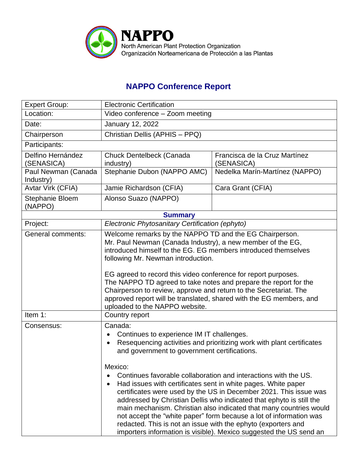

## **NAPPO Conference Report**

| <b>Expert Group:</b>             | <b>Electronic Certification</b>                                                                                                                                                                                                                                                                                                                                                                                                                                                                                                                   |                                             |  |  |
|----------------------------------|---------------------------------------------------------------------------------------------------------------------------------------------------------------------------------------------------------------------------------------------------------------------------------------------------------------------------------------------------------------------------------------------------------------------------------------------------------------------------------------------------------------------------------------------------|---------------------------------------------|--|--|
| Location:                        | Video conference - Zoom meeting                                                                                                                                                                                                                                                                                                                                                                                                                                                                                                                   |                                             |  |  |
| Date:                            | January 12, 2022                                                                                                                                                                                                                                                                                                                                                                                                                                                                                                                                  |                                             |  |  |
| Chairperson                      | Christian Dellis (APHIS - PPQ)                                                                                                                                                                                                                                                                                                                                                                                                                                                                                                                    |                                             |  |  |
| Participants:                    |                                                                                                                                                                                                                                                                                                                                                                                                                                                                                                                                                   |                                             |  |  |
| Delfino Hernández<br>(SENASICA)  | Chuck Dentelbeck (Canada<br>industry)                                                                                                                                                                                                                                                                                                                                                                                                                                                                                                             | Francisca de la Cruz Martínez<br>(SENASICA) |  |  |
| Paul Newman (Canada<br>Industry) | Stephanie Dubon (NAPPO AMC)                                                                                                                                                                                                                                                                                                                                                                                                                                                                                                                       | Nedelka Marín-Martínez (NAPPO)              |  |  |
| Avtar Virk (CFIA)                | Jamie Richardson (CFIA)                                                                                                                                                                                                                                                                                                                                                                                                                                                                                                                           | Cara Grant (CFIA)                           |  |  |
| Stephanie Bloem<br>(NAPPO)       | Alonso Suazo (NAPPO)                                                                                                                                                                                                                                                                                                                                                                                                                                                                                                                              |                                             |  |  |
| <b>Summary</b>                   |                                                                                                                                                                                                                                                                                                                                                                                                                                                                                                                                                   |                                             |  |  |
| Project:                         | Electronic Phytosanitary Certification (ephyto)                                                                                                                                                                                                                                                                                                                                                                                                                                                                                                   |                                             |  |  |
| General comments:                | Welcome remarks by the NAPPO TD and the EG Chairperson.<br>Mr. Paul Newman (Canada Industry), a new member of the EG,<br>introduced himself to the EG. EG members introduced themselves<br>following Mr. Newman introduction.<br>EG agreed to record this video conference for report purposes.<br>The NAPPO TD agreed to take notes and prepare the report for the<br>Chairperson to review, approve and return to the Secretariat. The<br>approved report will be translated, shared with the EG members, and<br>uploaded to the NAPPO website. |                                             |  |  |
| Item 1:                          | Country report                                                                                                                                                                                                                                                                                                                                                                                                                                                                                                                                    |                                             |  |  |
| Consensus:                       | Canada:<br>Continues to experience IM IT challenges.<br>Resequencing activities and prioritizing work with plant certificates<br>$\bullet$<br>and government to government certifications.<br>Mexico:<br>Continues favorable collaboration and interactions with the US.                                                                                                                                                                                                                                                                          |                                             |  |  |
|                                  | Had issues with certificates sent in white pages. White paper<br>certificates were used by the US in December 2021. This issue was<br>addressed by Christian Dellis who indicated that ephyto is still the<br>main mechanism. Christian also indicated that many countries would<br>not accept the "white paper" form because a lot of information was<br>redacted. This is not an issue with the ephyto (exporters and<br>importers information is visible). Mexico suggested the US send an                                                     |                                             |  |  |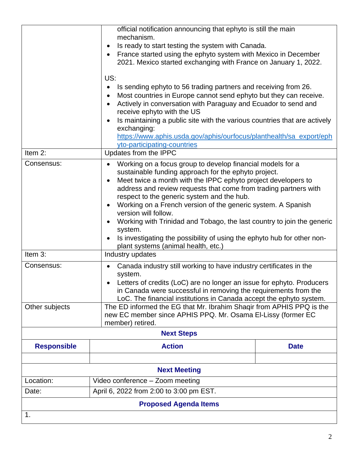|                              | official notification announcing that ephyto is still the main<br>mechanism.<br>Is ready to start testing the system with Canada.<br>$\bullet$<br>France started using the ephyto system with Mexico in December<br>$\bullet$<br>2021. Mexico started exchanging with France on January 1, 2022.<br>US:<br>Is sending ephyto to 56 trading partners and receiving from 26.<br>$\bullet$<br>Most countries in Europe cannot send ephyto but they can receive.<br>$\bullet$<br>Actively in conversation with Paraguay and Ecuador to send and<br>$\bullet$<br>receive ephyto with the US<br>Is maintaining a public site with the various countries that are actively<br>$\bullet$<br>exchanging:<br>https://www.aphis.usda.gov/aphis/ourfocus/planthealth/sa_export/eph |             |  |  |
|------------------------------|------------------------------------------------------------------------------------------------------------------------------------------------------------------------------------------------------------------------------------------------------------------------------------------------------------------------------------------------------------------------------------------------------------------------------------------------------------------------------------------------------------------------------------------------------------------------------------------------------------------------------------------------------------------------------------------------------------------------------------------------------------------------|-------------|--|--|
| Item 2:                      | yto-participating-countries<br>Updates from the IPPC                                                                                                                                                                                                                                                                                                                                                                                                                                                                                                                                                                                                                                                                                                                   |             |  |  |
| Consensus:                   | Working on a focus group to develop financial models for a<br>$\bullet$<br>sustainable funding approach for the ephyto project.<br>Meet twice a month with the IPPC ephyto project developers to<br>$\bullet$<br>address and review requests that come from trading partners with<br>respect to the generic system and the hub.<br>Working on a French version of the generic system. A Spanish<br>$\bullet$<br>version will follow.<br>Working with Trinidad and Tobago, the last country to join the generic<br>$\bullet$<br>system.<br>Is investigating the possibility of using the ephyto hub for other non-<br>$\bullet$<br>plant systems (animal health, etc.)                                                                                                  |             |  |  |
| Item 3:                      | Industry updates                                                                                                                                                                                                                                                                                                                                                                                                                                                                                                                                                                                                                                                                                                                                                       |             |  |  |
| Consensus:                   | Canada industry still working to have industry certificates in the<br>$\bullet$<br>system.<br>Letters of credits (LoC) are no longer an issue for ephyto. Producers<br>in Canada were successful in removing the requirements from the<br>LoC. The financial institutions in Canada accept the ephyto system.                                                                                                                                                                                                                                                                                                                                                                                                                                                          |             |  |  |
| Other subjects               | The ED informed the EG that Mr. Ibrahim Shaqir from APHIS PPQ is the<br>new EC member since APHIS PPQ. Mr. Osama EI-Lissy (former EC<br>member) retired.                                                                                                                                                                                                                                                                                                                                                                                                                                                                                                                                                                                                               |             |  |  |
| <b>Next Steps</b>            |                                                                                                                                                                                                                                                                                                                                                                                                                                                                                                                                                                                                                                                                                                                                                                        |             |  |  |
| <b>Responsible</b>           | <b>Action</b>                                                                                                                                                                                                                                                                                                                                                                                                                                                                                                                                                                                                                                                                                                                                                          | <b>Date</b> |  |  |
| <b>Next Meeting</b>          |                                                                                                                                                                                                                                                                                                                                                                                                                                                                                                                                                                                                                                                                                                                                                                        |             |  |  |
| Location:                    | Video conference - Zoom meeting                                                                                                                                                                                                                                                                                                                                                                                                                                                                                                                                                                                                                                                                                                                                        |             |  |  |
| Date:                        | April 6, 2022 from 2:00 to 3:00 pm EST.                                                                                                                                                                                                                                                                                                                                                                                                                                                                                                                                                                                                                                                                                                                                |             |  |  |
| <b>Proposed Agenda Items</b> |                                                                                                                                                                                                                                                                                                                                                                                                                                                                                                                                                                                                                                                                                                                                                                        |             |  |  |
| 1.                           |                                                                                                                                                                                                                                                                                                                                                                                                                                                                                                                                                                                                                                                                                                                                                                        |             |  |  |